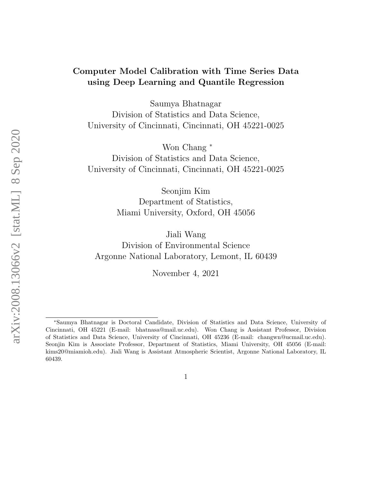### Computer Model Calibration with Time Series Data using Deep Learning and Quantile Regression

Saumya Bhatnagar Division of Statistics and Data Science, University of Cincinnati, Cincinnati, OH 45221-0025

Won Chang <sup>∗</sup> Division of Statistics and Data Science, University of Cincinnati, Cincinnati, OH 45221-0025

> Seonjim Kim Department of Statistics, Miami University, Oxford, OH 45056

Jiali Wang Division of Environmental Science Argonne National Laboratory, Lemont, IL 60439

November 4, 2021

<sup>∗</sup>Saumya Bhatnagar is Doctoral Candidate, Division of Statistics and Data Science, University of Cincinnati, OH 45221 (E-mail: bhatnasa@mail.uc.edu). Won Chang is Assistant Professor, Division of Statistics and Data Science, University of Cincinnati, OH 45236 (E-mail: changwn@ucmail.uc.edu). Seonjin Kim is Associate Professor, Department of Statistics, Miami University, OH 45056 (E-mail: kims20@miamioh.edu). Jiali Wang is Assistant Atmospheric Scientist, Argonne National Laboratory, IL 60439.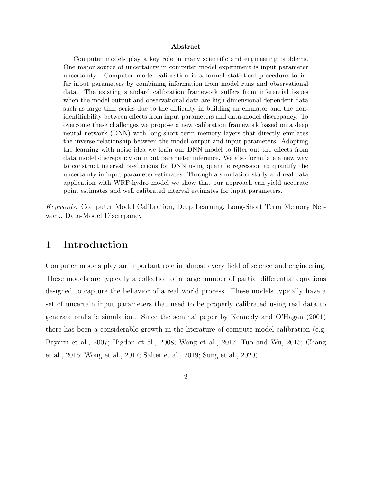#### Abstract

Computer models play a key role in many scientific and engineering problems. One major source of uncertainty in computer model experiment is input parameter uncertainty. Computer model calibration is a formal statistical procedure to infer input parameters by combining information from model runs and observational data. The existing standard calibration framework suffers from inferential issues when the model output and observational data are high-dimensional dependent data such as large time series due to the difficulty in building an emulator and the nonidentifiability between effects from input parameters and data-model discrepancy. To overcome these challenges we propose a new calibration framework based on a deep neural network (DNN) with long-short term memory layers that directly emulates the inverse relationship between the model output and input parameters. Adopting the learning with noise idea we train our DNN model to filter out the effects from data model discrepancy on input parameter inference. We also formulate a new way to construct interval predictions for DNN using quantile regression to quantify the uncertainty in input parameter estimates. Through a simulation study and real data application with WRF-hydro model we show that our approach can yield accurate point estimates and well calibrated interval estimates for input parameters.

Keywords: Computer Model Calibration, Deep Learning, Long-Short Term Memory Network, Data-Model Discrepancy

## 1 Introduction

Computer models play an important role in almost every field of science and engineering. These models are typically a collection of a large number of partial differential equations designed to capture the behavior of a real world process. These models typically have a set of uncertain input parameters that need to be properly calibrated using real data to generate realistic simulation. Since the seminal paper by Kennedy and O'Hagan (2001) there has been a considerable growth in the literature of compute model calibration (e.g. Bayarri et al., 2007; Higdon et al., 2008; Wong et al., 2017; Tuo and Wu, 2015; Chang et al., 2016; Wong et al., 2017; Salter et al., 2019; Sung et al., 2020).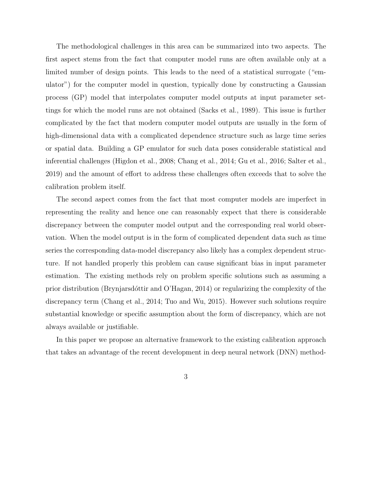The methodological challenges in this area can be summarized into two aspects. The first aspect stems from the fact that computer model runs are often available only at a limited number of design points. This leads to the need of a statistical surrogate ("emulator") for the computer model in question, typically done by constructing a Gaussian process (GP) model that interpolates computer model outputs at input parameter settings for which the model runs are not obtained (Sacks et al., 1989). This issue is further complicated by the fact that modern computer model outputs are usually in the form of high-dimensional data with a complicated dependence structure such as large time series or spatial data. Building a GP emulator for such data poses considerable statistical and inferential challenges (Higdon et al., 2008; Chang et al., 2014; Gu et al., 2016; Salter et al., 2019) and the amount of effort to address these challenges often exceeds that to solve the calibration problem itself.

The second aspect comes from the fact that most computer models are imperfect in representing the reality and hence one can reasonably expect that there is considerable discrepancy between the computer model output and the corresponding real world observation. When the model output is in the form of complicated dependent data such as time series the corresponding data-model discrepancy also likely has a complex dependent structure. If not handled properly this problem can cause significant bias in input parameter estimation. The existing methods rely on problem specific solutions such as assuming a prior distribution (Brynjarsdóttir and O'Hagan, 2014) or regularizing the complexity of the discrepancy term (Chang et al., 2014; Tuo and Wu, 2015). However such solutions require substantial knowledge or specific assumption about the form of discrepancy, which are not always available or justifiable.

In this paper we propose an alternative framework to the existing calibration approach that takes an advantage of the recent development in deep neural network (DNN) method-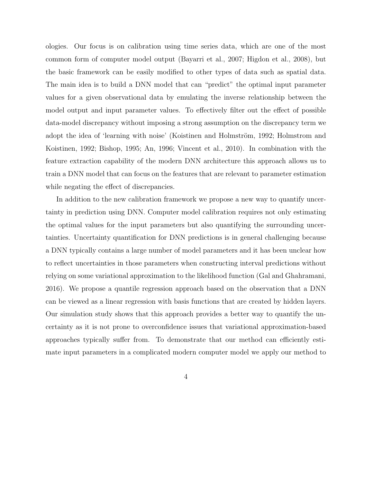ologies. Our focus is on calibration using time series data, which are one of the most common form of computer model output (Bayarri et al., 2007; Higdon et al., 2008), but the basic framework can be easily modified to other types of data such as spatial data. The main idea is to build a DNN model that can "predict" the optimal input parameter values for a given observational data by emulating the inverse relationship between the model output and input parameter values. To effectively filter out the effect of possible data-model discrepancy without imposing a strong assumption on the discrepancy term we adopt the idea of 'learning with noise' (Koistinen and Holmström, 1992; Holmstrom and Koistinen, 1992; Bishop, 1995; An, 1996; Vincent et al., 2010). In combination with the feature extraction capability of the modern DNN architecture this approach allows us to train a DNN model that can focus on the features that are relevant to parameter estimation while negating the effect of discrepancies.

In addition to the new calibration framework we propose a new way to quantify uncertainty in prediction using DNN. Computer model calibration requires not only estimating the optimal values for the input parameters but also quantifying the surrounding uncertainties. Uncertainty quantification for DNN predictions is in general challenging because a DNN typically contains a large number of model parameters and it has been unclear how to reflect uncertainties in those parameters when constructing interval predictions without relying on some variational approximation to the likelihood function (Gal and Ghahramani, 2016). We propose a quantile regression approach based on the observation that a DNN can be viewed as a linear regression with basis functions that are created by hidden layers. Our simulation study shows that this approach provides a better way to quantify the uncertainty as it is not prone to overconfidence issues that variational approximation-based approaches typically suffer from. To demonstrate that our method can efficiently estimate input parameters in a complicated modern computer model we apply our method to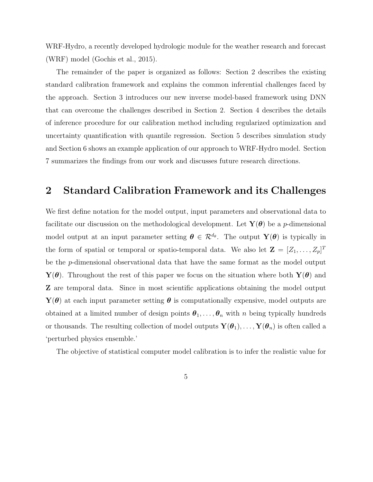WRF-Hydro, a recently developed hydrologic module for the weather research and forecast (WRF) model (Gochis et al., 2015).

The remainder of the paper is organized as follows: Section 2 describes the existing standard calibration framework and explains the common inferential challenges faced by the approach. Section 3 introduces our new inverse model-based framework using DNN that can overcome the challenges described in Section 2. Section 4 describes the details of inference procedure for our calibration method including regularized optimization and uncertainty quantification with quantile regression. Section 5 describes simulation study and Section 6 shows an example application of our approach to WRF-Hydro model. Section 7 summarizes the findings from our work and discusses future research directions.

### 2 Standard Calibration Framework and its Challenges

We first define notation for the model output, input parameters and observational data to facilitate our discussion on the methodological development. Let  $Y(\theta)$  be a p-dimensional model output at an input parameter setting  $\theta \in \mathcal{R}^{d_{\theta}}$ . The output  $\mathbf{Y}(\theta)$  is typically in the form of spatial or temporal or spatio-temporal data. We also let  $\mathbf{Z} = [Z_1, \ldots, Z_p]^T$ be the p-dimensional observational data that have the same format as the model output  $\mathbf{Y}(\boldsymbol{\theta})$ . Throughout the rest of this paper we focus on the situation where both  $\mathbf{Y}(\boldsymbol{\theta})$  and Z are temporal data. Since in most scientific applications obtaining the model output  $\mathbf{Y}(\boldsymbol{\theta})$  at each input parameter setting  $\boldsymbol{\theta}$  is computationally expensive, model outputs are obtained at a limited number of design points  $\theta_1, \ldots, \theta_n$  with n being typically hundreds or thousands. The resulting collection of model outputs  $Y(\theta_1), \ldots, Y(\theta_n)$  is often called a 'perturbed physics ensemble.'

The objective of statistical computer model calibration is to infer the realistic value for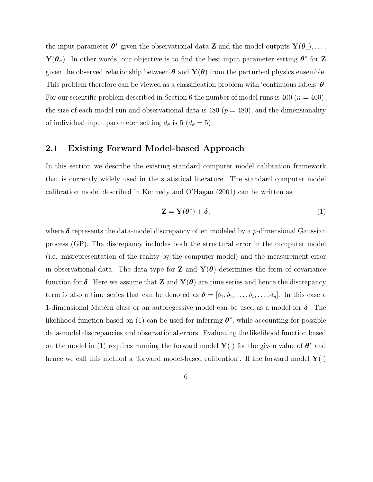the input parameter  $\boldsymbol{\theta}^*$  given the observational data **Z** and the model outputs  $\mathbf{Y}(\boldsymbol{\theta}_1), \ldots,$  $\mathbf{Y}(\boldsymbol{\theta}_n)$ . In other words, our objective is to find the best input parameter setting  $\boldsymbol{\theta}^*$  for Z given the observed relationship between  $\boldsymbol{\theta}$  and  $\mathbf{Y}(\boldsymbol{\theta})$  from the perturbed physics ensemble. This problem therefore can be viewed as a classification problem with 'continuous labels'  $\theta$ . For our scientific problem described in Section 6 the number of model runs is 400 ( $n = 400$ ), the size of each model run and observational data is 480 ( $p = 480$ ), and the dimensionality of individual input parameter setting  $d_{\theta}$  is 5 ( $d_{\theta} = 5$ ).

### 2.1 Existing Forward Model-based Approach

In this section we describe the existing standard computer model calibration framework that is currently widely used in the statistical literature. The standard computer model calibration model described in Kennedy and O'Hagan (2001) can be written as

$$
\mathbf{Z} = \mathbf{Y}(\boldsymbol{\theta}^*) + \boldsymbol{\delta},\tag{1}
$$

where  $\delta$  represents the data-model discrepancy often modeled by a *p*-dimensional Gaussian process (GP). The discrepancy includes both the structural error in the computer model (i.e. misrepresentation of the reality by the computer model) and the measurement error in observational data. The data type for **Z** and  $\mathbf{Y}(\boldsymbol{\theta})$  determines the form of covariance function for  $\delta$ . Here we assume that Z and  $Y(\theta)$  are time series and hence the discrepancy term is also a time series that can be denoted as  $\boldsymbol{\delta} = [\delta_1, \delta_2, \dots, \delta_t, \dots, \delta_p].$  In this case a 1-dimensional Matérn class or an autoregessive model can be used as a model for  $\delta$ . The likelihood function based on (1) can be used for inferring  $\theta^*$ , while accounting for possible data-model discrepancies and observational errors. Evaluating the likelihood function based on the model in (1) requires running the forward model  $\mathbf{Y}(\cdot)$  for the given value of  $\boldsymbol{\theta}^*$  and hence we call this method a 'forward model-based calibration'. If the forward model  $\mathbf{Y}(\cdot)$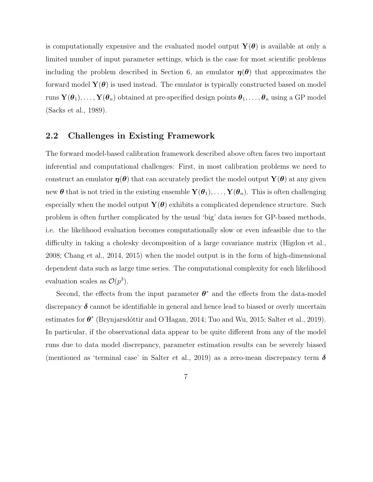is computationally expensive and the evaluated model output  $\mathbf{Y}(\boldsymbol{\theta})$  is available at only a limited number of input parameter settings, which is the case for most scientific problems including the problem described in Section 6, an emulator  $\eta(\theta)$  that approximates the forward model  $\mathbf{Y}(\boldsymbol{\theta})$  is used instead. The emulator is typically constructed based on model runs  $\mathbf{Y}(\theta_1),\ldots,\mathbf{Y}(\theta_n)$  obtained at pre-specified design points  $\theta_1,\ldots,\theta_n$  using a GP model (Sacks et al., 1989).

### 2.2 Challenges in Existing Framework

The forward model-based calibration framework described above often faces two important inferential and computational challenges: First, in most calibration problems we need to construct an emulator  $\eta(\theta)$  that can accurately predict the model output  $\mathbf{Y}(\theta)$  at any given new  $\theta$  that is not tried in the existing ensemble  $\mathbf{Y}(\theta_1), \ldots, \mathbf{Y}(\theta_n)$ . This is often challenging especially when the model output  $\mathbf{Y}(\boldsymbol{\theta})$  exhibits a complicated dependence structure. Such problem is often further complicated by the usual 'big' data issues for GP-based methods, i.e. the likelihood evaluation becomes computationally slow or even infeasible due to the difficulty in taking a cholesky decomposition of a large covariance matrix (Higdon et al., 2008; Chang et al., 2014, 2015) when the model output is in the form of high-dimensional dependent data such as large time series. The computational complexity for each likelihood evaluation scales as  $\mathcal{O}(p^3)$ .

Second, the effects from the input parameter  $\theta^*$  and the effects from the data-model discrepancy  $\delta$  cannot be identifiable in general and hence lead to biased or overly uncertain estimates for  $\theta^*$  (Brynjarsdóttir and O'Hagan, 2014; Tuo and Wu, 2015; Salter et al., 2019). In particular, if the observational data appear to be quite different from any of the model runs due to data model discrepancy, parameter estimation results can be severely biased (mentioned as 'terminal case' in Salter et al., 2019) as a zero-mean discrepancy term  $\delta$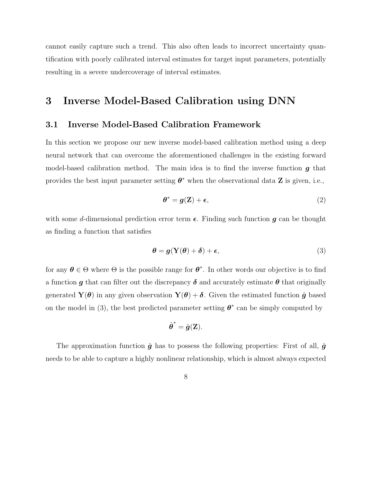cannot easily capture such a trend. This also often leads to incorrect uncertainty quantification with poorly calibrated interval estimates for target input parameters, potentially resulting in a severe undercoverage of interval estimates.

# 3 Inverse Model-Based Calibration using DNN

### 3.1 Inverse Model-Based Calibration Framework

In this section we propose our new inverse model-based calibration method using a deep neural network that can overcome the aforementioned challenges in the existing forward model-based calibration method. The main idea is to find the inverse function  $g$  that provides the best input parameter setting  $\boldsymbol{\theta}^*$  when the observational data **Z** is given, i.e.,

$$
\boldsymbol{\theta}^* = \boldsymbol{g}(\mathbf{Z}) + \boldsymbol{\epsilon},\tag{2}
$$

with some d-dimensional prediction error term  $\epsilon$ . Finding such function g can be thought as finding a function that satisfies

$$
\boldsymbol{\theta} = \boldsymbol{g}(\mathbf{Y}(\boldsymbol{\theta}) + \boldsymbol{\delta}) + \boldsymbol{\epsilon},\tag{3}
$$

for any  $\theta \in \Theta$  where  $\Theta$  is the possible range for  $\theta^*$ . In other words our objective is to find a function g that can filter out the discrepancy  $\delta$  and accurately estimate  $\theta$  that originally generated  $\mathbf{Y}(\boldsymbol{\theta})$  in any given observation  $\mathbf{Y}(\boldsymbol{\theta}) + \boldsymbol{\delta}$ . Given the estimated function  $\hat{\boldsymbol{g}}$  based on the model in (3), the best predicted parameter setting  $\boldsymbol{\theta}^*$  can be simply computed by

$$
\hat{\boldsymbol{\theta}}^* = \hat{\boldsymbol{g}}(\mathbf{Z}).
$$

The approximation function  $\hat{g}$  has to possess the following properties: First of all,  $\hat{g}$ needs to be able to capture a highly nonlinear relationship, which is almost always expected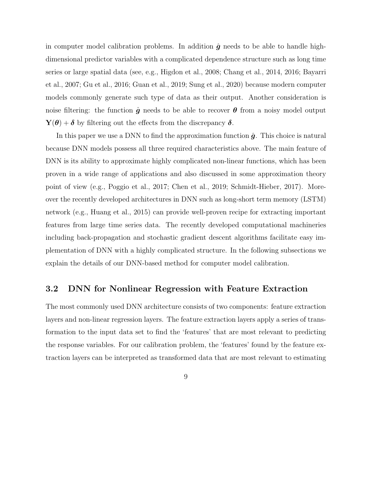in computer model calibration problems. In addition  $\hat{g}$  needs to be able to handle highdimensional predictor variables with a complicated dependence structure such as long time series or large spatial data (see, e.g., Higdon et al., 2008; Chang et al., 2014, 2016; Bayarri et al., 2007; Gu et al., 2016; Guan et al., 2019; Sung et al., 2020) because modern computer models commonly generate such type of data as their output. Another consideration is noise filtering: the function  $\hat{g}$  needs to be able to recover  $\theta$  from a noisy model output  $\mathbf{Y}(\boldsymbol{\theta}) + \boldsymbol{\delta}$  by filtering out the effects from the discrepancy  $\boldsymbol{\delta}$ .

In this paper we use a DNN to find the approximation function  $\hat{g}$ . This choice is natural because DNN models possess all three required characteristics above. The main feature of DNN is its ability to approximate highly complicated non-linear functions, which has been proven in a wide range of applications and also discussed in some approximation theory point of view (e.g., Poggio et al., 2017; Chen et al., 2019; Schmidt-Hieber, 2017). Moreover the recently developed architectures in DNN such as long-short term memory (LSTM) network (e.g., Huang et al., 2015) can provide well-proven recipe for extracting important features from large time series data. The recently developed computational machineries including back-propagation and stochastic gradient descent algorithms facilitate easy implementation of DNN with a highly complicated structure. In the following subsections we explain the details of our DNN-based method for computer model calibration.

### 3.2 DNN for Nonlinear Regression with Feature Extraction

The most commonly used DNN architecture consists of two components: feature extraction layers and non-linear regression layers. The feature extraction layers apply a series of transformation to the input data set to find the 'features' that are most relevant to predicting the response variables. For our calibration problem, the 'features' found by the feature extraction layers can be interpreted as transformed data that are most relevant to estimating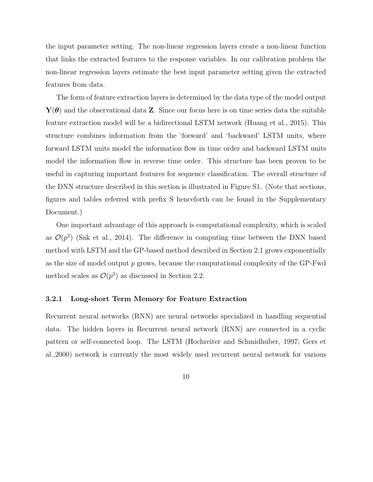the input parameter setting. The non-linear regression layers create a non-linear function that links the extracted features to the response variables. In our calibration problem the non-linear regression layers estimate the best input parameter setting given the extracted features from data.

The form of feature extraction layers is determined by the data type of the model output  $\mathbf{Y}(\boldsymbol{\theta})$  and the observational data **Z**. Since our focus here is on time series data the suitable feature extraction model will be a bidirectional LSTM network (Huang et al., 2015). This structure combines information from the 'forward' and 'backward' LSTM units, where forward LSTM units model the information flow in time order and backward LSTM units model the information flow in reverse time order. This structure has been proven to be useful in capturing important features for sequence classification. The overall structure of the DNN structure described in this section is illustrated in Figure S1. (Note that sections, figures and tables referred with prefix S henceforth can be found in the Supplementary Document.)

One important advantage of this approach is computational complexity, which is scaled as  $\mathcal{O}(p^2)$  (Sak et al., 2014). The difference in computing time between the DNN based method with LSTM and the GP-based method described in Section 2.1 grows exponentially as the size of model output p grows, because the computational complexity of the GP-Fwd method scales as  $\mathcal{O}(p^3)$  as discussed in Section 2.2.

#### 3.2.1 Long-short Term Memory for Feature Extraction

Recurrent neural networks (RNN) are neural networks specialized in handling sequential data. The hidden layers in Recurrent neural network (RNN) are connected in a cyclic pattern or self-connected loop. The LSTM (Hochreiter and Schmidhuber, 1997; Gers et al.,2000) network is currently the most widely used recurrent neural network for various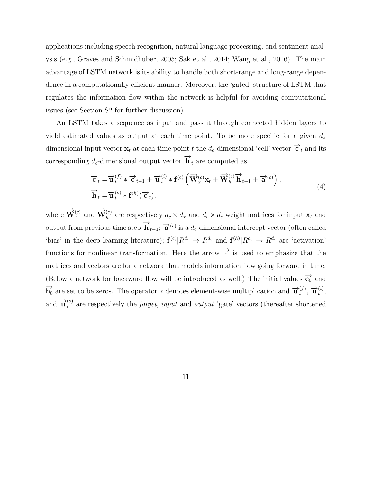applications including speech recognition, natural language processing, and sentiment analysis (e.g., Graves and Schmidhuber, 2005; Sak et al., 2014; Wang et al., 2016). The main advantage of LSTM network is its ability to handle both short-range and long-range dependence in a computationally efficient manner. Moreover, the 'gated' structure of LSTM that regulates the information flow within the network is helpful for avoiding computational issues (see Section S2 for further discussion)

An LSTM takes a sequence as input and pass it through connected hidden layers to yield estimated values as output at each time point. To be more specific for a given  $d_x$ dimensional input vector  $\mathbf{x}_t$  at each time point t the  $d_c$ -dimensional 'cell' vector  $\overrightarrow{\mathbf{c}}_t$  and its corresponding  $d_c$ -dimensional output vector  $\overrightarrow{\mathbf{h}}_t$  are computed as

$$
\overrightarrow{c}_t = \overrightarrow{u}_t^{(f)} * \overrightarrow{c}_{t-1} + \overrightarrow{u}_t^{(i)} * f^{(c)} \left( \overrightarrow{W}_x^{(c)} x_t + \overrightarrow{W}_h^{(c)} \overrightarrow{h}_{t-1} + \overrightarrow{a}^{(c)} \right), \n\overrightarrow{h}_t = \overrightarrow{u}_t^{(o)} * f^{(h)} (\overrightarrow{c}_t),
$$
\n(4)

where  $\overrightarrow{\mathbf{W}}_x^{(c)}$  and  $\overrightarrow{\mathbf{W}}_h^{(c)}$  are respectively  $d_c \times d_x$  and  $d_c \times d_c$  weight matrices for input  $\mathbf{x}_t$  and output from previous time step  $\overrightarrow{\mathbf{h}}_{t-1}$ ;  $\overrightarrow{\mathbf{a}}^{(c)}$  is a  $d_c$ -dimensional intercept vector (often called 'bias' in the deep learning literature);  $f^{(c)}|R^{d_c} \to R^{d_c}$  and  $f^{(h)}|R^{d_c} \to R^{d_c}$  are 'activation' functions for nonlinear transformation. Here the arrow  $\rightarrow$  is used to emphasize that the matrices and vectors are for a network that models information flow going forward in time. (Below a network for backward flow will be introduced as well.) The initial values  $\overrightarrow{c_0}$  and  $\overrightarrow{h}_0$  are set to be zeros. The operator  $*$  denotes element-wise multiplication and  $\overrightarrow{u}_t^{(f)}$  $\frac{(f)}{t}, \overrightarrow{\mathbf{u}}_t^{(i)}$  $\binom{i}{t}$ and  $\vec{u}_t^{(o)}$  are respectively the *forget*, *input* and *output* 'gate' vectors (thereafter shortened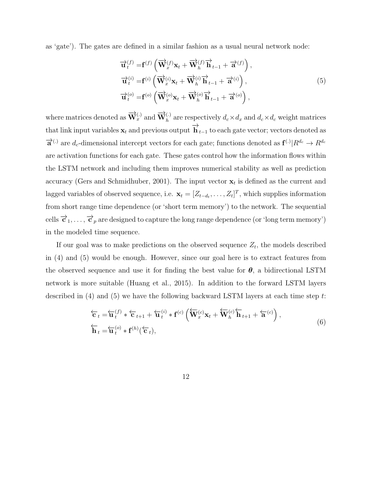as 'gate'). The gates are defined in a similar fashion as a usual neural network node:

$$
\overrightarrow{\mathbf{u}}_{t}^{(f)} = \mathbf{f}^{(f)} \left( \overrightarrow{\mathbf{W}}_{x}^{(f)} \mathbf{x}_{t} + \overrightarrow{\mathbf{W}}_{h}^{(f)} \overrightarrow{\mathbf{h}}_{t-1} + \overrightarrow{\mathbf{a}}^{(f)} \right),
$$
  

$$
\overrightarrow{\mathbf{u}}_{t}^{(i)} = \mathbf{f}^{(i)} \left( \overrightarrow{\mathbf{W}}_{x}^{(i)} \mathbf{x}_{t} + \overrightarrow{\mathbf{W}}_{h}^{(i)} \overrightarrow{\mathbf{h}}_{t-1} + \overrightarrow{\mathbf{a}}^{(i)} \right),
$$
  

$$
\overrightarrow{\mathbf{u}}_{t}^{(o)} = \mathbf{f}^{(o)} \left( \overrightarrow{\mathbf{W}}_{x}^{(o)} \mathbf{x}_{t} + \overrightarrow{\mathbf{W}}_{h}^{(o)} \overrightarrow{\mathbf{h}}_{t-1} + \overrightarrow{\mathbf{a}}^{(o)} \right),
$$
\n(5)

where matrices denoted as  $\overrightarrow{W}_x^{(.)}$  and  $\overrightarrow{W}_h^{(.)}$  are respectively  $d_c \times d_x$  and  $d_c \times d_c$  weight matrices that link input variables  $\mathbf{x}_t$  and previous output  $\overrightarrow{\mathbf{h}}_{t-1}$  to each gate vector; vectors denoted as  $\vec{a}^{(.)}$  are  $d_c$ -dimensional intercept vectors for each gate; functions denoted as  $\mathbf{f}^{(.)} | R^{d_c} \to R^{d_c}$ are activation functions for each gate. These gates control how the information flows within the LSTM network and including them improves numerical stability as well as prediction accuracy (Gers and Schmidhuber, 2001). The input vector  $\mathbf{x}_t$  is defined as the current and lagged variables of observed sequence, i.e.  $\mathbf{x}_t = [Z_{t-d_t}, \dots, Z_t]^T$ , which supplies information from short range time dependence (or 'short term memory') to the network. The sequential cells  $\overrightarrow{c}_1,\ldots,\overrightarrow{c}_p$  are designed to capture the long range dependence (or 'long term memory') in the modeled time sequence.

If our goal was to make predictions on the observed sequence  $Z_t$ , the models described in (4) and (5) would be enough. However, since our goal here is to extract features from the observed sequence and use it for finding the best value for  $\theta$ , a bidirectional LSTM network is more suitable (Huang et al., 2015). In addition to the forward LSTM layers described in  $(4)$  and  $(5)$  we have the following backward LSTM layers at each time step t:

$$
\overleftarrow{\mathbf{c}}_t = \overleftarrow{\mathbf{u}}_t^{(f)} * \overleftarrow{\mathbf{c}}_{t+1} + \overleftarrow{\mathbf{u}}_t^{(i)} * \mathbf{f}^{(c)} \left( \overleftarrow{\mathbf{W}}_x^{(c)} \mathbf{x}_t + \overleftarrow{\mathbf{W}}_h^{(c)} \overleftarrow{\mathbf{h}}_{t+1} + \overleftarrow{\mathbf{a}}^{(c)} \right),
$$
\n
$$
\overleftarrow{\mathbf{h}}_t = \overleftarrow{\mathbf{u}}_t^{(o)} * \mathbf{f}^{(h)} (\overleftarrow{\mathbf{c}}_t),
$$
\n(6)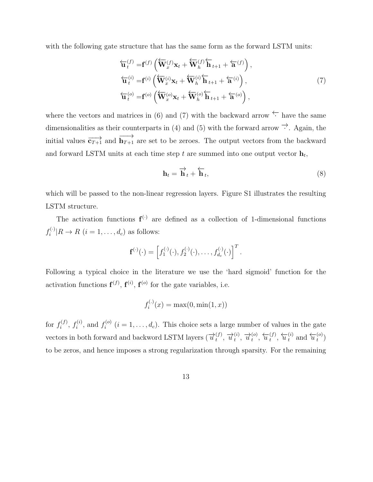with the following gate structure that has the same form as the forward LSTM units:

$$
\overleftarrow{\mathbf{u}}_t^{(f)} = \mathbf{f}^{(f)} \left( \overleftarrow{\mathbf{W}}_x^{(f)} \mathbf{x}_t + \overleftarrow{\mathbf{W}}_h^{(f)} \overleftarrow{\mathbf{h}}_{t+1} + \overleftarrow{\mathbf{a}}^{(f)} \right),
$$
\n
$$
\overleftarrow{\mathbf{u}}_t^{(i)} = \mathbf{f}^{(i)} \left( \overleftarrow{\mathbf{W}}_x^{(i)} \mathbf{x}_t + \overleftarrow{\mathbf{W}}_h^{(i)} \overleftarrow{\mathbf{h}}_{t+1} + \overleftarrow{\mathbf{a}}^{(i)} \right),
$$
\n
$$
\overleftarrow{\mathbf{u}}_t^{(o)} = \mathbf{f}^{(o)} \left( \overleftarrow{\mathbf{W}}_x^{(o)} \mathbf{x}_t + \overleftarrow{\mathbf{W}}_h^{(o)} \overleftarrow{\mathbf{h}}_{t+1} + \overleftarrow{\mathbf{a}}^{(o)} \right),
$$
\n(7)

where the vectors and matrices in (6) and (7) with the backward arrow  $\leftarrow$  have the same dimensionalities as their counterparts in (4) and (5) with the forward arrow  $\overrightarrow{\cdot}$ . Again, the initial values  $\overrightarrow{c_{T+1}}$  and  $\overrightarrow{h_{T+1}}$  are set to be zeroes. The output vectors from the backward and forward LSTM units at each time step  $t$  are summed into one output vector  $\mathbf{h}_t$ ,

$$
\mathbf{h}_t = \overrightarrow{\mathbf{h}}_t + \overleftarrow{\mathbf{h}}_t,\tag{8}
$$

which will be passed to the non-linear regression layers. Figure S1 illustrates the resulting LSTM structure.

The activation functions  $f^{(\cdot)}$  are defined as a collection of 1-dimensional functions  $f_i^{(\cdot)}$  $i^{(c)}|R \to R$   $(i = 1, ..., d_c)$  as follows:

$$
\mathbf{f}^{(\cdot)}(\cdot)=\left[f_1^{(\cdot)}(\cdot),f_2^{(\cdot)}(\cdot),\ldots,f_{d_c}^{(\cdot)}(\cdot)\right]^T.
$$

Following a typical choice in the literature we use the 'hard sigmoid' function for the activation functions  $f^{(f)}$ ,  $f^{(i)}$ ,  $f^{(o)}$  for the gate variables, i.e.

$$
f_i^{(.)}(x) = \max(0, \min(1, x))
$$

for  $f_i^{(f)}$  $f_i^{(f)}$ ,  $f_i^{(i)}$  $f_i^{(i)}$ , and  $f_i^{(o)}$  $i^{(0)}$   $(i = 1, \ldots, d_c)$ . This choice sets a large number of values in the gate vectors in both forward and backword LSTM layers ( $\overrightarrow{u}_t^{(f)}$  $\overrightarrow{u}^{(i)}$ ,  $\overrightarrow{u}^{(i)}$  $\overrightarrow{u}$ <sub>t</sub><sup>(*o*)</sup>  $\overrightarrow{u}$ <sub>t</sub><sup>(*o*)</sup>  $\overleftarrow{u}^{(f)}_t$  $\overleftarrow{u}^{(f)}$ ,  $\overleftarrow{u}^{(i)}_t$  and  $\overleftarrow{u}^{(o)}_t$  $\binom{(O)}{t}$ to be zeros, and hence imposes a strong regularization through sparsity. For the remaining

13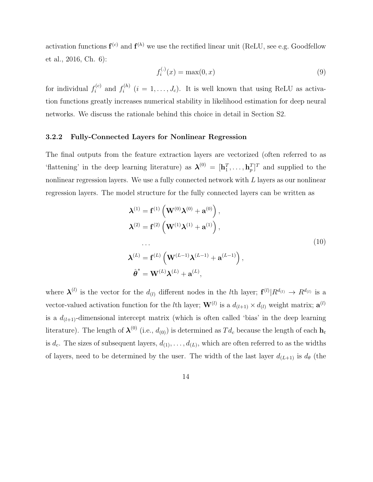activation functions  $f^{(c)}$  and  $f^{(h)}$  we use the rectified linear unit (ReLU, see e.g. Goodfellow et al., 2016, Ch. 6):

$$
f_i^{(\cdot)}(x) = \max(0, x) \tag{9}
$$

for individual  $f_i^{(c)}$  $f_i^{(c)}$  and  $f_i^{(h)}$  $i_i^{(n)}$   $(i = 1, \ldots, J_c)$ . It is well known that using ReLU as activation functions greatly increases numerical stability in likelihood estimation for deep neural networks. We discuss the rationale behind this choice in detail in Section S2.

#### 3.2.2 Fully-Connected Layers for Nonlinear Regression

The final outputs from the feature extraction layers are vectorized (often referred to as 'flattening' in the deep learning literature) as  $\boldsymbol{\lambda}^{(0)} = [\mathbf{h}_1^T, \dots, \mathbf{h}_p^T]^T$  and supplied to the nonlinear regression layers. We use a fully connected network with L layers as our nonlinear regression layers. The model structure for the fully connected layers can be written as

$$
\lambda^{(1)} = \mathbf{f}^{(1)} \left( \mathbf{W}^{(0)} \lambda^{(0)} + \mathbf{a}^{(0)} \right),
$$
  
\n
$$
\lambda^{(2)} = \mathbf{f}^{(2)} \left( \mathbf{W}^{(1)} \lambda^{(1)} + \mathbf{a}^{(1)} \right),
$$
  
\n...  
\n
$$
\lambda^{(L)} = \mathbf{f}^{(L)} \left( \mathbf{W}^{(L-1)} \lambda^{(L-1)} + \mathbf{a}^{(L-1)} \right),
$$
  
\n
$$
\hat{\boldsymbol{\theta}}^* = \mathbf{W}^{(L)} \lambda^{(L)} + \mathbf{a}^{(L)},
$$
  
\n(10)

where  $\mathbf{\lambda}^{(l)}$  is the vector for the  $d_{(l)}$  different nodes in the *l*th layer;  $\mathbf{f}^{(l)}|R^{d_{(l)}} \to R^{d_{(l)}}$  is a vector-valued activation function for the *l*<sup>th</sup> layer;  $\mathbf{W}^{(l)}$  is a  $d_{(l+1)} \times d_{(l)}$  weight matrix;  $\mathbf{a}^{(l)}$ is a  $d_{(l+1)}$ -dimensional intercept matrix (which is often called 'bias' in the deep learning literature). The length of  $\lambda^{(0)}$  (i.e.,  $d_{(0)}$ ) is determined as  $Td_c$  because the length of each  $\mathbf{h}_t$ is  $d_c$ . The sizes of subsequent layers,  $d_{(1)}, \ldots, d_{(L)}$ , which are often referred to as the widths of layers, need to be determined by the user. The width of the last layer  $d_{(L+1)}$  is  $d_{\theta}$  (the

14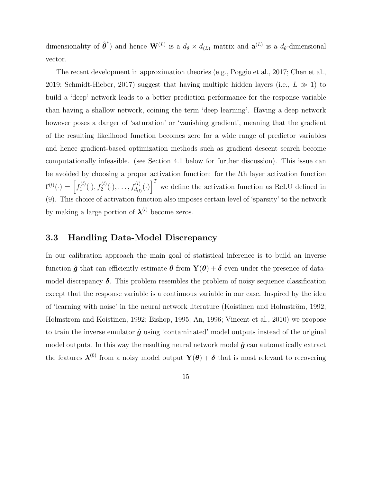dimensionality of  $\hat{\theta}^*$  and hence  $\mathbf{W}^{(L)}$  is a  $d_{\theta} \times d_{(L)}$  matrix and  $\mathbf{a}^{(L)}$  is a  $d_{\theta}$ -dimensional vector.

The recent development in approximation theories (e.g., Poggio et al., 2017; Chen et al., 2019; Schmidt-Hieber, 2017) suggest that having multiple hidden layers (i.e.,  $L \gg 1$ ) to build a 'deep' network leads to a better prediction performance for the response variable than having a shallow network, coining the term 'deep learning'. Having a deep network however poses a danger of 'saturation' or 'vanishing gradient', meaning that the gradient of the resulting likelihood function becomes zero for a wide range of predictor variables and hence gradient-based optimization methods such as gradient descent search become computationally infeasible. (see Section 4.1 below for further discussion). This issue can be avoided by choosing a proper activation function: for the lth layer activation function  $\mathbf{f}^{(l)}(\cdot) = \begin{bmatrix} f_1^{(l)} \end{bmatrix}$  $\mathcal{L}_1^{(l)}(\cdot), f_2^{(l)}(\cdot), \ldots, f_{d_{(l)}}^{(l)}(\cdot)\big)^T$  we define the activation function as ReLU defined in (9). This choice of activation function also imposes certain level of 'sparsity' to the network by making a large portion of  $\lambda^{(l)}$  become zeros.

### 3.3 Handling Data-Model Discrepancy

In our calibration approach the main goal of statistical inference is to build an inverse function  $\hat{g}$  that can efficiently estimate  $\theta$  from  $\mathbf{Y}(\theta) + \delta$  even under the presence of datamodel discrepancy  $\delta$ . This problem resembles the problem of noisy sequence classification except that the response variable is a continuous variable in our case. Inspired by the idea of 'learning with noise' in the neural network literature (Koistinen and Holmström, 1992; Holmstrom and Koistinen, 1992; Bishop, 1995; An, 1996; Vincent et al., 2010) we propose to train the inverse emulator  $\hat{g}$  using 'contaminated' model outputs instead of the original model outputs. In this way the resulting neural network model  $\hat{g}$  can automatically extract the features  $\boldsymbol{\lambda}^{(0)}$  from a noisy model output  $\mathbf{Y}(\boldsymbol{\theta}) + \boldsymbol{\delta}$  that is most relevant to recovering

15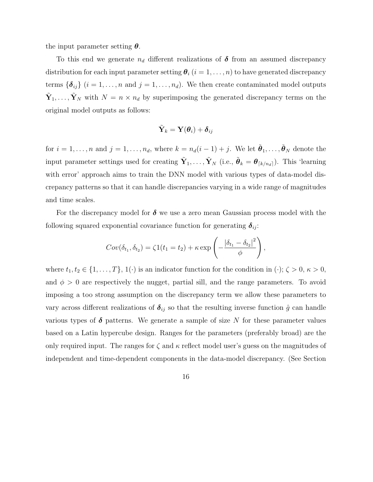the input parameter setting  $\theta$ .

To this end we generate  $n_d$  different realizations of  $\delta$  from an assumed discrepancy distribution for each input parameter setting  $\theta_i$   $(i = 1, \ldots, n)$  to have generated discrepancy terms  $\{\boldsymbol{\delta}_{ij}\}\ (i=1,\ldots,n\text{ and }j=1,\ldots,n_d).$  We then create contaminated model outputs  $\tilde{\mathbf{Y}}_1, \ldots, \tilde{\mathbf{Y}}_N$  with  $N = n \times n_d$  by superimposing the generated discrepancy terms on the original model outputs as follows:

$$
\tilde{\mathbf{Y}}_k = \mathbf{Y}({\boldsymbol{\theta}}_i) + \boldsymbol{\delta}_{ij}
$$

for  $i = 1, \ldots, n$  and  $j = 1, \ldots, n_d$ , where  $k = n_d(i-1) + j$ . We let  $\tilde{\boldsymbol{\theta}}_1, \ldots, \tilde{\boldsymbol{\theta}}_N$  denote the input parameter settings used for creating  $\tilde{\mathbf{Y}}_1, \ldots, \tilde{\mathbf{Y}}_N$  (i.e.,  $\tilde{\boldsymbol{\theta}}_k = \boldsymbol{\theta}_{\lceil k/n_d \rceil}$ ). This 'learning with error' approach aims to train the DNN model with various types of data-model discrepancy patterns so that it can handle discrepancies varying in a wide range of magnitudes and time scales.

For the discrepancy model for  $\delta$  we use a zero mean Gaussian process model with the following squared exponential covariance function for generating  $\delta_{ij}$ :

$$
Cov(\delta_{t_1}, \delta_{t_2}) = \zeta 1(t_1 = t_2) + \kappa \exp\left(-\frac{|\delta_{t_1} - \delta_{t_2}|^2}{\phi}\right),
$$

where  $t_1, t_2 \in \{1, \ldots, T\}, 1(\cdot)$  is an indicator function for the condition in  $(\cdot)$ ;  $\zeta > 0$ ,  $\kappa > 0$ , and  $\phi > 0$  are respectively the nugget, partial sill, and the range parameters. To avoid imposing a too strong assumption on the discrepancy term we allow these parameters to vary across different realizations of  $\delta_{ij}$  so that the resulting inverse function  $\hat{g}$  can handle various types of  $\delta$  patterns. We generate a sample of size N for these parameter values based on a Latin hypercube design. Ranges for the parameters (preferably broad) are the only required input. The ranges for  $\zeta$  and  $\kappa$  reflect model user's guess on the magnitudes of independent and time-dependent components in the data-model discrepancy. (See Section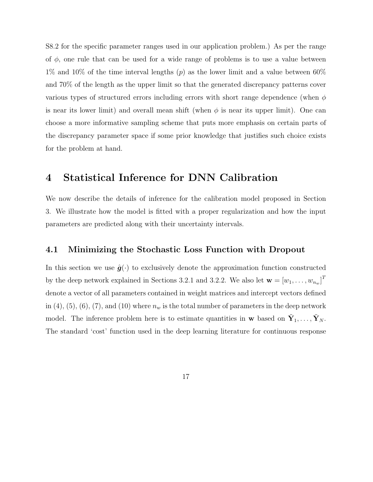S8.2 for the specific parameter ranges used in our application problem.) As per the range of  $\phi$ , one rule that can be used for a wide range of problems is to use a value between 1% and 10% of the time interval lengths  $(p)$  as the lower limit and a value between 60% and 70% of the length as the upper limit so that the generated discrepancy patterns cover various types of structured errors including errors with short range dependence (when  $\phi$ is near its lower limit) and overall mean shift (when  $\phi$  is near its upper limit). One can choose a more informative sampling scheme that puts more emphasis on certain parts of the discrepancy parameter space if some prior knowledge that justifies such choice exists for the problem at hand.

## 4 Statistical Inference for DNN Calibration

We now describe the details of inference for the calibration model proposed in Section 3. We illustrate how the model is fitted with a proper regularization and how the input parameters are predicted along with their uncertainty intervals.

### 4.1 Minimizing the Stochastic Loss Function with Dropout

In this section we use  $\hat{g}(\cdot)$  to exclusively denote the approximation function constructed by the deep network explained in Sections 3.2.1 and 3.2.2. We also let  $\mathbf{w} = [w_1, \dots, w_{n_w}]^T$ denote a vector of all parameters contained in weight matrices and intercept vectors defined in  $(4)$ ,  $(5)$ ,  $(6)$ ,  $(7)$ , and  $(10)$  where  $n_w$  is the total number of parameters in the deep network model. The inference problem here is to estimate quantities in w based on  $\tilde{\mathbf{Y}}_1, \ldots, \tilde{\mathbf{Y}}_N$ . The standard 'cost' function used in the deep learning literature for continuous response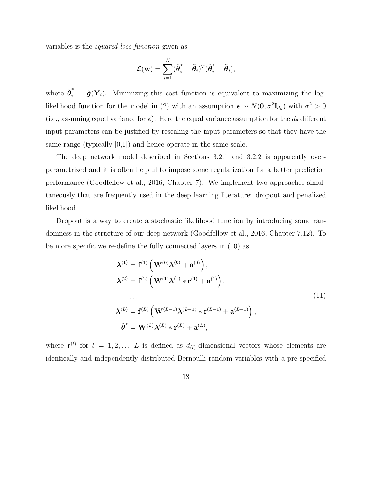variables is the squared loss function given as

$$
\mathcal{L}(\mathbf{w}) = \sum_{i=1}^N (\hat{\boldsymbol{\theta}}_i^* - \tilde{\boldsymbol{\theta}}_i)^T (\hat{\boldsymbol{\theta}}_i^* - \tilde{\boldsymbol{\theta}}_i),
$$

where  $\hat{\boldsymbol{\theta}}_i^* = \hat{\boldsymbol{g}}(\tilde{\mathbf{Y}}_i)$ . Minimizing this cost function is equivalent to maximizing the loglikelihood function for the model in (2) with an assumption  $\epsilon \sim N(0, \sigma^2 \mathbf{I}_{d_{\theta}})$  with  $\sigma^2 > 0$ (i.e., assuming equal variance for  $\epsilon$ ). Here the equal variance assumption for the  $d_{\theta}$  different input parameters can be justified by rescaling the input parameters so that they have the same range (typically [0,1]) and hence operate in the same scale.

The deep network model described in Sections 3.2.1 and 3.2.2 is apparently overparametrized and it is often helpful to impose some regularization for a better prediction performance (Goodfellow et al., 2016, Chapter 7). We implement two approaches simultaneously that are frequently used in the deep learning literature: dropout and penalized likelihood.

Dropout is a way to create a stochastic likelihood function by introducing some randomness in the structure of our deep network (Goodfellow et al., 2016, Chapter 7.12). To be more specific we re-define the fully connected layers in (10) as

$$
\lambda^{(1)} = \mathbf{f}^{(1)} \left( \mathbf{W}^{(0)} \lambda^{(0)} + \mathbf{a}^{(0)} \right),
$$
  
\n
$$
\lambda^{(2)} = \mathbf{f}^{(2)} \left( \mathbf{W}^{(1)} \lambda^{(1)} \ast \mathbf{r}^{(1)} + \mathbf{a}^{(1)} \right),
$$
  
\n...  
\n
$$
\lambda^{(L)} = \mathbf{f}^{(L)} \left( \mathbf{W}^{(L-1)} \lambda^{(L-1)} \ast \mathbf{r}^{(L-1)} + \mathbf{a}^{(L-1)} \right),
$$
  
\n
$$
\hat{\boldsymbol{\theta}}^* = \mathbf{W}^{(L)} \lambda^{(L)} \ast \mathbf{r}^{(L)} + \mathbf{a}^{(L)},
$$
  
\n(11)

where  $\mathbf{r}^{(l)}$  for  $l = 1, 2, ..., L$  is defined as  $d_{(l)}$ -dimensional vectors whose elements are identically and independently distributed Bernoulli random variables with a pre-specified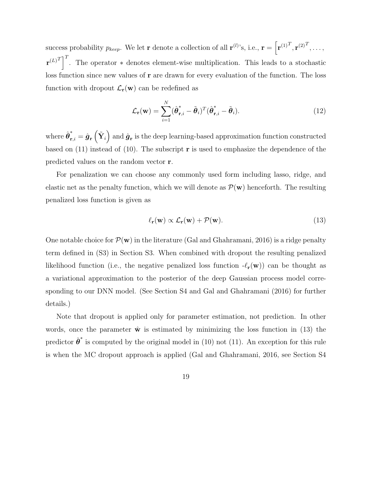success probability  $p_{keep}$ . We let **r** denote a collection of all  $\mathbf{r}^{(l)}$ 's, i.e.,  $\mathbf{r} = \left[ \mathbf{r}^{(1)^T}, \mathbf{r}^{(2)^T}, \dots, \right]$  $\mathbf{r}^{(L)}^{T}$ . The operator \* denotes element-wise multiplication. This leads to a stochastic loss function since new values of r are drawn for every evaluation of the function. The loss function with dropout  $\mathcal{L}_{r}(\mathbf{w})$  can be redefined as

$$
\mathcal{L}_{\mathbf{r}}(\mathbf{w}) = \sum_{i=1}^{N} (\hat{\boldsymbol{\theta}}_{\mathbf{r},i}^{*} - \tilde{\boldsymbol{\theta}}_{i})^{T} (\hat{\boldsymbol{\theta}}_{\mathbf{r},i}^{*} - \tilde{\boldsymbol{\theta}}_{i}).
$$
\n(12)

where  $\hat{\bm{\theta}}_{\textbf{r},i}^* = \hat{\bm{g}}_{\textbf{r}}\left(\tilde{\mathbf{Y}}_i\right)$  and  $\hat{\bm{g}}_{\textbf{r}}$  is the deep learning-based approximation function constructed based on  $(11)$  instead of  $(10)$ . The subscript **r** is used to emphasize the dependence of the predicted values on the random vector r.

For penalization we can choose any commonly used form including lasso, ridge, and elastic net as the penalty function, which we will denote as  $\mathcal{P}(\mathbf{w})$  henceforth. The resulting penalized loss function is given as

$$
\ell_{\mathbf{r}}(\mathbf{w}) \propto \mathcal{L}_{\mathbf{r}}(\mathbf{w}) + \mathcal{P}(\mathbf{w}). \tag{13}
$$

One notable choice for  $\mathcal{P}(\mathbf{w})$  in the literature (Gal and Ghahramani, 2016) is a ridge penalty term defined in (S3) in Section S3. When combined with dropout the resulting penalized likelihood function (i.e., the negative penalized loss function  $-\ell_{\mathbf{r}}(\mathbf{w})$ ) can be thought as a variational approximation to the posterior of the deep Gaussian process model corresponding to our DNN model. (See Section S4 and Gal and Ghahramani (2016) for further details.)

Note that dropout is applied only for parameter estimation, not prediction. In other words, once the parameter  $\hat{\mathbf{w}}$  is estimated by minimizing the loss function in (13) the predictor  $\hat{\boldsymbol{\theta}}^*$  is computed by the original model in (10) not (11). An exception for this rule is when the MC dropout approach is applied (Gal and Ghahramani, 2016, see Section S4

19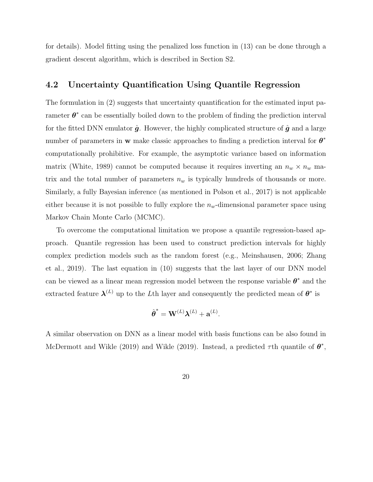for details). Model fitting using the penalized loss function in (13) can be done through a gradient descent algorithm, which is described in Section S2.

### 4.2 Uncertainty Quantification Using Quantile Regression

The formulation in (2) suggests that uncertainty quantification for the estimated input parameter  $\theta^*$  can be essentially boiled down to the problem of finding the prediction interval for the fitted DNN emulator  $\hat{g}$ . However, the highly complicated structure of  $\hat{g}$  and a large number of parameters in **w** make classic approaches to finding a prediction interval for  $\theta^*$ computationally prohibitive. For example, the asymptotic variance based on information matrix (White, 1989) cannot be computed because it requires inverting an  $n_w \times n_w$  matrix and the total number of parameters  $n_w$  is typically hundreds of thousands or more. Similarly, a fully Bayesian inference (as mentioned in Polson et al., 2017) is not applicable either because it is not possible to fully explore the  $n_w$ -dimensional parameter space using Markov Chain Monte Carlo (MCMC).

To overcome the computational limitation we propose a quantile regression-based approach. Quantile regression has been used to construct prediction intervals for highly complex prediction models such as the random forest (e.g., Meinshausen, 2006; Zhang et al., 2019). The last equation in (10) suggests that the last layer of our DNN model can be viewed as a linear mean regression model between the response variable  $\theta^*$  and the extracted feature  $\lambda^{(L)}$  up to the Lth layer and consequently the predicted mean of  $\theta^*$  is

$$
\hat{\boldsymbol{\theta}}^* = \mathbf{W}^{(L)} \boldsymbol{\lambda}^{(L)} + \mathbf{a}^{(L)}.
$$

A similar observation on DNN as a linear model with basis functions can be also found in McDermott and Wikle (2019) and Wikle (2019). Instead, a predicted  $\tau$ th quantile of  $\theta^*$ ,

20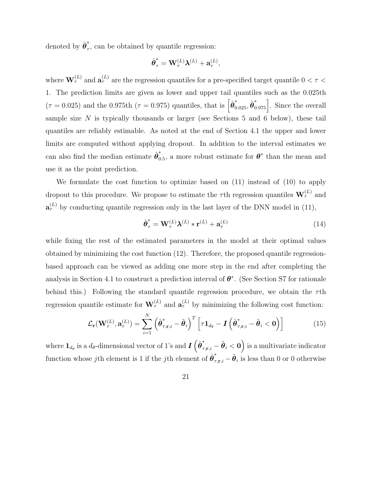denoted by  $\hat{\boldsymbol{\theta}}_{\tau}^*$  $\tau$ , can be obtained by quantile regression:

$$
\hat{\pmb{\theta}}_{\tau}^* = \mathbf{W}_{\tau}^{(L)} \pmb{\lambda}^{(L)} + \mathbf{a}_{\tau}^{(L)},
$$

where  $\mathbf{W}_{\tau}^{(L)}$  and  $\mathbf{a}_{\tau}^{(L)}$  are the regression quantiles for a pre-specified target quantile  $0 < \tau <$ 1. The prediction limits are given as lower and upper tail quantiles such as the 0.025th  $(\tau = 0.025)$  and the 0.975th  $(\tau = 0.975)$  quantiles, that is  $\left[\hat{\boldsymbol{\theta}}_{0.025}^*, \hat{\boldsymbol{\theta}}_{0.975}^*\right]$ . Since the overall sample size  $N$  is typically thousands or larger (see Sections 5 and 6 below), these tail quantiles are reliably estimable. As noted at the end of Section 4.1 the upper and lower limits are computed without applying dropout. In addition to the interval estimates we can also find the median estimate  $\hat{\boldsymbol{\theta}}_0^*$  $\overset{*}{\vphantom{\phi}}_{0.5}$ , a more robust estimate for  $\boldsymbol{\theta}^*$  than the mean and use it as the point prediction.

We formulate the cost function to optimize based on (11) instead of (10) to apply dropout to this procedure. We propose to estimate the  $\tau$ th regression quantiles  $\mathbf{W}_{\tau}^{(L)}$  and  $\mathbf{a}_{\tau}^{(L)}$  by conducting quantile regression only in the last layer of the DNN model in (11),

$$
\hat{\boldsymbol{\theta}}_{\tau}^* = \mathbf{W}_{\tau}^{(L)} \boldsymbol{\lambda}^{(L)} * \mathbf{r}^{(L)} + \mathbf{a}_{\tau}^{(L)}
$$
(14)

while fixing the rest of the estimated parameters in the model at their optimal values obtained by minimizing the cost function (12). Therefore, the proposed quantile regressionbased approach can be viewed as adding one more step in the end after completing the analysis in Section 4.1 to construct a prediction interval of  $\theta^*$ . (See Section S7 for rationale behind this.) Following the standard quantile regression procedure, we obtain the  $\tau$ th regression quantile estimate for  $\mathbf{W}_{\tau}^{(L)}$  and  $\mathbf{a}_{\tau}^{(L)}$  by minimizing the following cost function:

$$
\mathcal{L}_{\mathbf{r}}(\mathbf{W}_{\tau}^{(L)}, \mathbf{a}_{\tau}^{(L)}) = \sum_{i=1}^{N} \left( \hat{\boldsymbol{\theta}}_{\tau, \mathbf{r}, i}^{*} - \tilde{\boldsymbol{\theta}}_{i} \right)^{T} \left[ \tau \mathbf{1}_{d_{\theta}} - \boldsymbol{I} \left( \hat{\boldsymbol{\theta}}_{\tau, \mathbf{r}, i}^{*} - \tilde{\boldsymbol{\theta}}_{i} < \mathbf{0} \right) \right]
$$
(15)

where  $1_{d_\theta}$  is a  $d_\theta$ -dimensional vector of 1's and  $\bm{I}\left(\hat{\bm{\theta}}^\ast_{\tau,\mathbf{r},i}-\tilde{\bm{\theta}}_i<\mathbf{0}\right)$  is a multivariate indicator function whose jth element is 1 if the jth element of  $\hat{\theta}^*_{\tau,\mathbf{r},i} - \tilde{\theta}_i$  is less than 0 or 0 otherwise

21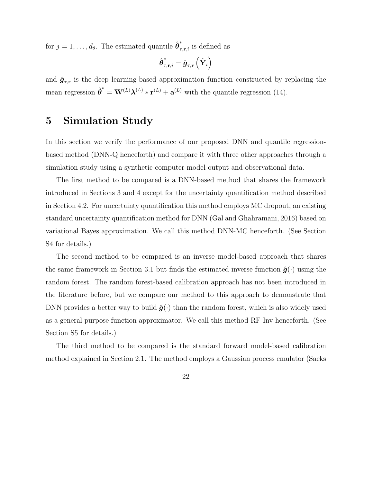for  $j = 1, \ldots, d_{\theta}$ . The estimated quantile  $\hat{\boldsymbol{\theta}}_{\tau,\mathbf{r},i}^*$  is defined as

$$
\hat{\boldsymbol\theta}_{\tau,\mathbf{r},i}^*=\hat{\boldsymbol g}_{\tau,\mathbf{r}}\left(\tilde{\mathbf{Y}}_i\right)
$$

and  $\hat{\mathbf{g}}_{\tau,\mathbf{r}}$  is the deep learning-based approximation function constructed by replacing the mean regression  $\hat{\boldsymbol{\theta}}^* = \mathbf{W}^{(L)} \boldsymbol{\lambda}^{(L)} * \mathbf{r}^{(L)} + \mathbf{a}^{(L)}$  with the quantile regression (14).

# 5 Simulation Study

In this section we verify the performance of our proposed DNN and quantile regressionbased method (DNN-Q henceforth) and compare it with three other approaches through a simulation study using a synthetic computer model output and observational data.

The first method to be compared is a DNN-based method that shares the framework introduced in Sections 3 and 4 except for the uncertainty quantification method described in Section 4.2. For uncertainty quantification this method employs MC dropout, an existing standard uncertainty quantification method for DNN (Gal and Ghahramani, 2016) based on variational Bayes approximation. We call this method DNN-MC henceforth. (See Section S4 for details.)

The second method to be compared is an inverse model-based approach that shares the same framework in Section 3.1 but finds the estimated inverse function  $\hat{g}(\cdot)$  using the random forest. The random forest-based calibration approach has not been introduced in the literature before, but we compare our method to this approach to demonstrate that DNN provides a better way to build  $\hat{g}(\cdot)$  than the random forest, which is also widely used as a general purpose function approximator. We call this method RF-Inv henceforth. (See Section S5 for details.)

The third method to be compared is the standard forward model-based calibration method explained in Section 2.1. The method employs a Gaussian process emulator (Sacks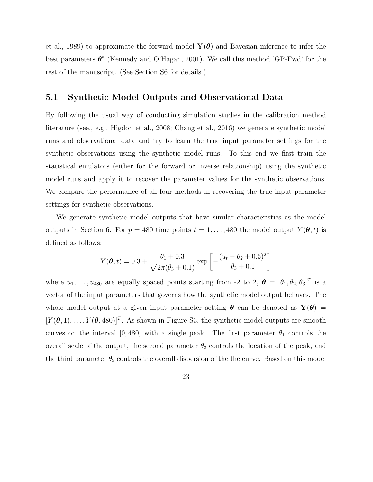et al., 1989) to approximate the forward model  $\mathbf{Y}(\boldsymbol{\theta})$  and Bayesian inference to infer the best parameters  $\theta^*$  (Kennedy and O'Hagan, 2001). We call this method 'GP-Fwd' for the rest of the manuscript. (See Section S6 for details.)

### 5.1 Synthetic Model Outputs and Observational Data

By following the usual way of conducting simulation studies in the calibration method literature (see., e.g., Higdon et al., 2008; Chang et al., 2016) we generate synthetic model runs and observational data and try to learn the true input parameter settings for the synthetic observations using the synthetic model runs. To this end we first train the statistical emulators (either for the forward or inverse relationship) using the synthetic model runs and apply it to recover the parameter values for the synthetic observations. We compare the performance of all four methods in recovering the true input parameter settings for synthetic observations.

We generate synthetic model outputs that have similar characteristics as the model outputs in Section 6. For  $p = 480$  time points  $t = 1, \ldots, 480$  the model output  $Y(\theta, t)$  is defined as follows:

$$
Y(\boldsymbol{\theta}, t) = 0.3 + \frac{\theta_1 + 0.3}{\sqrt{2\pi(\theta_3 + 0.1)}} \exp\left[-\frac{(u_t - \theta_2 + 0.5)^2}{\theta_3 + 0.1}\right]
$$

where  $u_1, \ldots, u_{480}$  are equally spaced points starting from -2 to 2,  $\boldsymbol{\theta} = [\theta_1, \theta_2, \theta_3]^T$  is a vector of the input parameters that governs how the synthetic model output behaves. The whole model output at a given input parameter setting  $\theta$  can be denoted as  $Y(\theta)$  =  $[Y(\theta,1),\ldots,Y(\theta,480)]^T$ . As shown in Figure S3, the synthetic model outputs are smooth curves on the interval [0,480] with a single peak. The first parameter  $\theta_1$  controls the overall scale of the output, the second parameter  $\theta_2$  controls the location of the peak, and the third parameter  $\theta_3$  controls the overall dispersion of the the curve. Based on this model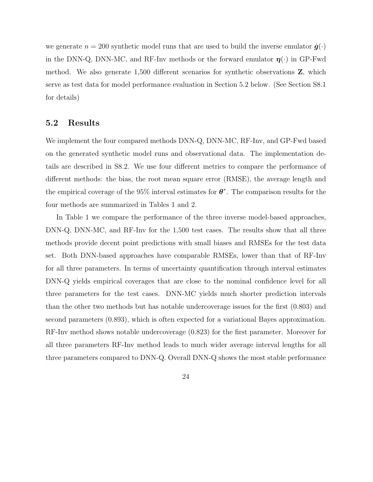we generate  $n = 200$  synthetic model runs that are used to build the inverse emulator  $\hat{g}(\cdot)$ in the DNN-Q, DNN-MC, and RF-Inv methods or the forward emulator  $\eta(\cdot)$  in GP-Fwd method. We also generate 1,500 different scenarios for synthetic observations Z, which serve as test data for model performance evaluation in Section 5.2 below. (See Section S8.1 for details)

### 5.2 Results

We implement the four compared methods DNN-Q, DNN-MC, RF-Inv, and GP-Fwd based on the generated synthetic model runs and observational data. The implementation details are described in S8.2. We use four different metrics to compare the performance of different methods: the bias, the root mean square error (RMSE), the average length and the empirical coverage of the 95% interval estimates for  $\theta^*$ . The comparison results for the four methods are summarized in Tables 1 and 2.

In Table 1 we compare the performance of the three inverse model-based approaches, DNN-Q, DNN-MC, and RF-Inv for the 1,500 test cases. The results show that all three methods provide decent point predictions with small biases and RMSEs for the test data set. Both DNN-based approaches have comparable RMSEs, lower than that of RF-Inv for all three parameters. In terms of uncertainty quantification through interval estimates DNN-Q yields empirical coverages that are close to the nominal confidence level for all three parameters for the test cases. DNN-MC yields much shorter prediction intervals than the other two methods but has notable undercoverage issues for the first (0.803) and second parameters (0.893), which is often expected for a variational Bayes approximation. RF-Inv method shows notable undercoverage (0.823) for the first parameter. Moreover for all three parameters RF-Inv method leads to much wider average interval lengths for all three parameters compared to DNN-Q. Overall DNN-Q shows the most stable performance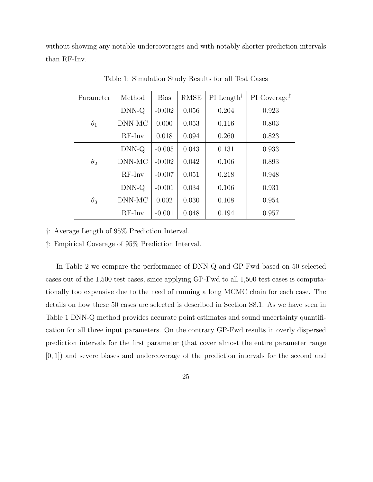without showing any notable undercoverages and with notably shorter prediction intervals than RF-Inv.

| Parameter  | Method   | <b>Bias</b> | <b>RMSE</b> | $PI$ Length <sup>†</sup> | PI Coverage <sup>‡</sup> |
|------------|----------|-------------|-------------|--------------------------|--------------------------|
| $\theta_1$ | $DNN-Q$  | $-0.002$    | 0.056       | 0.204                    | 0.923                    |
|            | DNN-MC   | 0.000       | 0.053       | 0.116                    | 0.803                    |
|            | $RF-Inv$ | 0.018       | 0.094       | 0.260                    | 0.823                    |
| $\theta_2$ | $DNN-Q$  | $-0.005$    | 0.043       | 0.131                    | 0.933                    |
|            | DNN-MC   | $-0.002$    | 0.042       | 0.106                    | 0.893                    |
|            | $RF-Inv$ | $-0.007$    | 0.051       | 0.218                    | 0.948                    |
| $\theta_3$ | $DNN-Q$  | $-0.001$    | 0.034       | 0.106                    | 0.931                    |
|            | DNN-MC   | 0.002       | 0.030       | 0.108                    | 0.954                    |
|            | $RF-Inv$ | $-0.001$    | 0.048       | 0.194                    | 0.957                    |

Table 1: Simulation Study Results for all Test Cases

†: Average Length of 95% Prediction Interval.

‡: Empirical Coverage of 95% Prediction Interval.

In Table 2 we compare the performance of DNN-Q and GP-Fwd based on 50 selected cases out of the 1,500 test cases, since applying GP-Fwd to all 1,500 test cases is computationally too expensive due to the need of running a long MCMC chain for each case. The details on how these 50 cases are selected is described in Section S8.1. As we have seen in Table 1 DNN-Q method provides accurate point estimates and sound uncertainty quantification for all three input parameters. On the contrary GP-Fwd results in overly dispersed prediction intervals for the first parameter (that cover almost the entire parameter range [0, 1]) and severe biases and undercoverage of the prediction intervals for the second and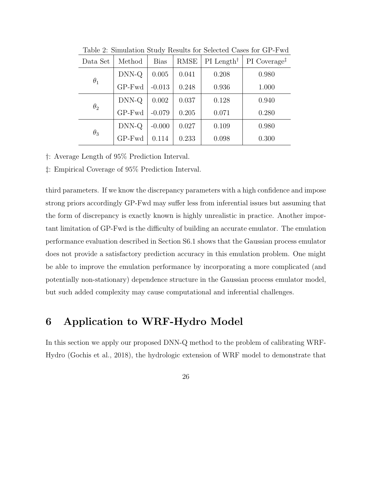| Data Set   | Method       | <b>Bias</b> | <b>RMSE</b> | $PI$ Length <sup>†</sup> | PI Coverage <sup>‡</sup> |
|------------|--------------|-------------|-------------|--------------------------|--------------------------|
| $\theta_1$ | DNN-Q        | 0.005       | 0.041       | 0.208                    | 0.980                    |
|            | GP-Fwd       | $-0.013$    | 0.248       | 0.936                    | 1.000                    |
| $\theta_2$ | DNN-Q        | 0.002       | 0.037       | 0.128                    | 0.940                    |
|            | GP-Fwd       | $-0.079$    | 0.205       | 0.071                    | 0.280                    |
| $\theta_3$ | DNN-Q        | $-0.000$    | 0.027       | 0.109                    | 0.980                    |
|            | $GP$ - $Fwd$ | 0.114       | 0.233       | 0.098                    | 0.300                    |

Table 2: Simulation Study Results for Selected Cases for GP-Fwd

†: Average Length of 95% Prediction Interval.

‡: Empirical Coverage of 95% Prediction Interval.

third parameters. If we know the discrepancy parameters with a high confidence and impose strong priors accordingly GP-Fwd may suffer less from inferential issues but assuming that the form of discrepancy is exactly known is highly unrealistic in practice. Another important limitation of GP-Fwd is the difficulty of building an accurate emulator. The emulation performance evaluation described in Section S6.1 shows that the Gaussian process emulator does not provide a satisfactory prediction accuracy in this emulation problem. One might be able to improve the emulation performance by incorporating a more complicated (and potentially non-stationary) dependence structure in the Gaussian process emulator model, but such added complexity may cause computational and inferential challenges.

# 6 Application to WRF-Hydro Model

In this section we apply our proposed DNN-Q method to the problem of calibrating WRF-Hydro (Gochis et al., 2018), the hydrologic extension of WRF model to demonstrate that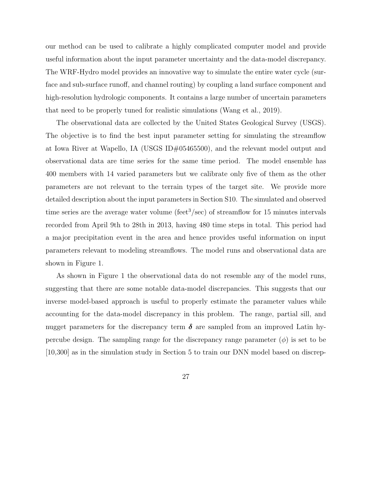our method can be used to calibrate a highly complicated computer model and provide useful information about the input parameter uncertainty and the data-model discrepancy. The WRF-Hydro model provides an innovative way to simulate the entire water cycle (surface and sub-surface runoff, and channel routing) by coupling a land surface component and high-resolution hydrologic components. It contains a large number of uncertain parameters that need to be properly tuned for realistic simulations (Wang et al., 2019).

The observational data are collected by the United States Geological Survey (USGS). The objective is to find the best input parameter setting for simulating the streamflow at Iowa River at Wapello, IA (USGS ID#05465500), and the relevant model output and observational data are time series for the same time period. The model ensemble has 400 members with 14 varied parameters but we calibrate only five of them as the other parameters are not relevant to the terrain types of the target site. We provide more detailed description about the input parameters in Section S10. The simulated and observed time series are the average water volume (feet<sup>3</sup>/sec) of streamflow for 15 minutes intervals recorded from April 9th to 28th in 2013, having 480 time steps in total. This period had a major precipitation event in the area and hence provides useful information on input parameters relevant to modeling streamflows. The model runs and observational data are shown in Figure 1.

As shown in Figure 1 the observational data do not resemble any of the model runs, suggesting that there are some notable data-model discrepancies. This suggests that our inverse model-based approach is useful to properly estimate the parameter values while accounting for the data-model discrepancy in this problem. The range, partial sill, and nugget parameters for the discrepancy term  $\delta$  are sampled from an improved Latin hypercube design. The sampling range for the discrepancy range parameter  $(\phi)$  is set to be [10,300] as in the simulation study in Section 5 to train our DNN model based on discrep-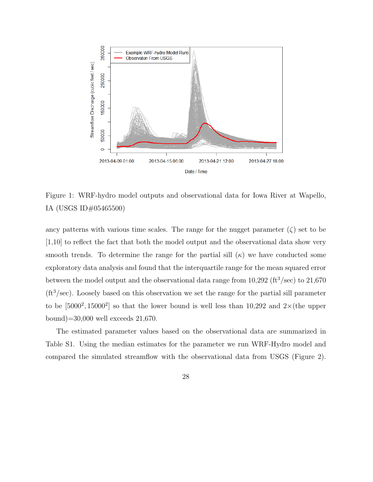

Figure 1: WRF-hydro model outputs and observational data for Iowa River at Wapello, IA (USGS ID#05465500)

ancy patterns with various time scales. The range for the nugget parameter  $(\zeta)$  set to be [1,10] to reflect the fact that both the model output and the observational data show very smooth trends. To determine the range for the partial sill  $(\kappa)$  we have conducted some exploratory data analysis and found that the interquartile range for the mean squared error between the model output and the observational data range from  $10,292$  (ft<sup>3</sup>/sec) to  $21,670$  $(\text{ft}^3/\text{sec})$ . Loosely based on this observation we set the range for the partial sill parameter to be  $[5000^2, 15000^2]$  so that the lower bound is well less than 10,292 and  $2\times$  (the upper bound)=30,000 well exceeds 21,670.

The estimated parameter values based on the observational data are summarized in Table S1. Using the median estimates for the parameter we run WRF-Hydro model and compared the simulated streamflow with the observational data from USGS (Figure 2).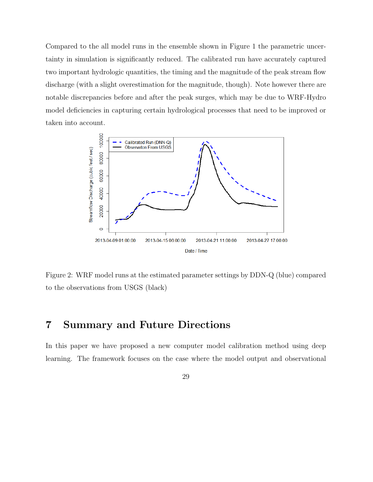Compared to the all model runs in the ensemble shown in Figure 1 the parametric uncertainty in simulation is significantly reduced. The calibrated run have accurately captured two important hydrologic quantities, the timing and the magnitude of the peak stream flow discharge (with a slight overestimation for the magnitude, though). Note however there are notable discrepancies before and after the peak surges, which may be due to WRF-Hydro model deficiencies in capturing certain hydrological processes that need to be improved or taken into account.



Figure 2: WRF model runs at the estimated parameter settings by DDN-Q (blue) compared to the observations from USGS (black)

# 7 Summary and Future Directions

In this paper we have proposed a new computer model calibration method using deep learning. The framework focuses on the case where the model output and observational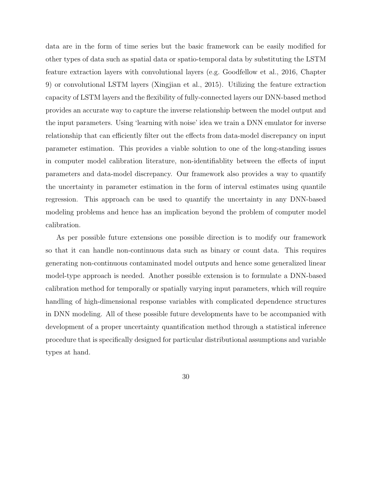data are in the form of time series but the basic framework can be easily modified for other types of data such as spatial data or spatio-temporal data by substituting the LSTM feature extraction layers with convolutional layers (e.g. Goodfellow et al., 2016, Chapter 9) or convolutional LSTM layers (Xingjian et al., 2015). Utilizing the feature extraction capacity of LSTM layers and the flexibility of fully-connected layers our DNN-based method provides an accurate way to capture the inverse relationship between the model output and the input parameters. Using 'learning with noise' idea we train a DNN emulator for inverse relationship that can efficiently filter out the effects from data-model discrepancy on input parameter estimation. This provides a viable solution to one of the long-standing issues in computer model calibration literature, non-identifiablity between the effects of input parameters and data-model discrepancy. Our framework also provides a way to quantify the uncertainty in parameter estimation in the form of interval estimates using quantile regression. This approach can be used to quantify the uncertainty in any DNN-based modeling problems and hence has an implication beyond the problem of computer model calibration.

As per possible future extensions one possible direction is to modify our framework so that it can handle non-continuous data such as binary or count data. This requires generating non-continuous contaminated model outputs and hence some generalized linear model-type approach is needed. Another possible extension is to formulate a DNN-based calibration method for temporally or spatially varying input parameters, which will require handling of high-dimensional response variables with complicated dependence structures in DNN modeling. All of these possible future developments have to be accompanied with development of a proper uncertainty quantification method through a statistical inference procedure that is specifically designed for particular distributional assumptions and variable types at hand.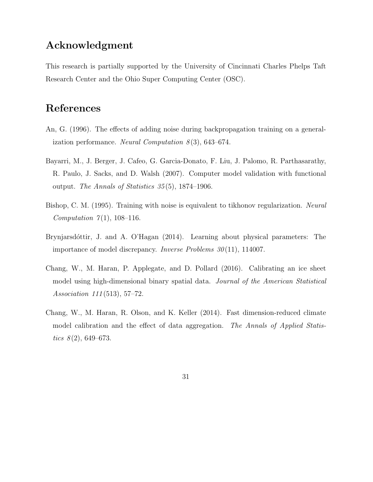# Acknowledgment

This research is partially supported by the University of Cincinnati Charles Phelps Taft Research Center and the Ohio Super Computing Center (OSC).

# References

- An, G. (1996). The effects of adding noise during backpropagation training on a generalization performance. Neural Computation  $8(3)$ , 643–674.
- Bayarri, M., J. Berger, J. Cafeo, G. Garcia-Donato, F. Liu, J. Palomo, R. Parthasarathy, R. Paulo, J. Sacks, and D. Walsh (2007). Computer model validation with functional output. The Annals of Statistics  $35(5)$ , 1874–1906.
- Bishop, C. M. (1995). Training with noise is equivalent to tikhonov regularization. Neural *Computation*  $7(1)$ , 108–116.
- Brynjarsdóttir, J. and A. O'Hagan (2014). Learning about physical parameters: The importance of model discrepancy. *Inverse Problems 30*(11), 114007.
- Chang, W., M. Haran, P. Applegate, and D. Pollard (2016). Calibrating an ice sheet model using high-dimensional binary spatial data. Journal of the American Statistical Association 111 (513), 57–72.
- Chang, W., M. Haran, R. Olson, and K. Keller (2014). Fast dimension-reduced climate model calibration and the effect of data aggregation. The Annals of Applied Statistics  $8(2)$ , 649–673.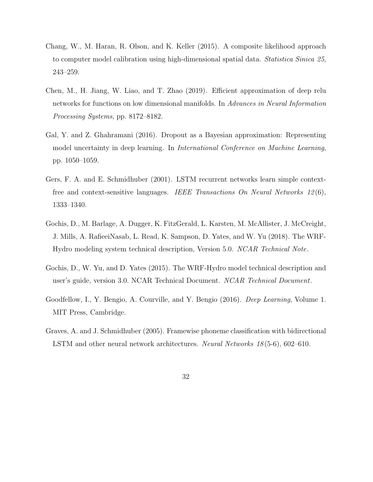- Chang, W., M. Haran, R. Olson, and K. Keller (2015). A composite likelihood approach to computer model calibration using high-dimensional spatial data. Statistica Sinica 25, 243–259.
- Chen, M., H. Jiang, W. Liao, and T. Zhao (2019). Efficient approximation of deep relu networks for functions on low dimensional manifolds. In Advances in Neural Information Processing Systems, pp. 8172–8182.
- Gal, Y. and Z. Ghahramani (2016). Dropout as a Bayesian approximation: Representing model uncertainty in deep learning. In International Conference on Machine Learning, pp. 1050–1059.
- Gers, F. A. and E. Schmidhuber (2001). LSTM recurrent networks learn simple contextfree and context-sensitive languages. IEEE Transactions On Neural Networks  $12(6)$ , 1333–1340.
- Gochis, D., M. Barlage, A. Dugger, K. FitzGerald, L. Karsten, M. McAllister, J. McCreight, J. Mills, A. RafieeiNasab, L. Read, K. Sampson, D. Yates, and W. Yu (2018). The WRF-Hydro modeling system technical description, Version 5.0. NCAR Technical Note.
- Gochis, D., W. Yu, and D. Yates (2015). The WRF-Hydro model technical description and user's guide, version 3.0. NCAR Technical Document. NCAR Technical Document.
- Goodfellow, I., Y. Bengio, A. Courville, and Y. Bengio (2016). Deep Learning, Volume 1. MIT Press, Cambridge.
- Graves, A. and J. Schmidhuber (2005). Framewise phoneme classification with bidirectional LSTM and other neural network architectures. Neural Networks 18 (5-6), 602–610.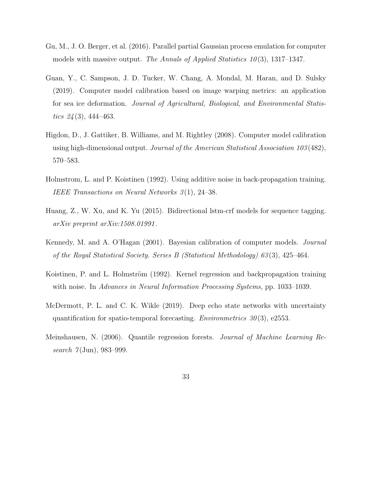- Gu, M., J. O. Berger, et al. (2016). Parallel partial Gaussian process emulation for computer models with massive output. The Annals of Applied Statistics  $10(3)$ , 1317–1347.
- Guan, Y., C. Sampson, J. D. Tucker, W. Chang, A. Mondal, M. Haran, and D. Sulsky (2019). Computer model calibration based on image warping metrics: an application for sea ice deformation. Journal of Agricultural, Biological, and Environmental Statistics  $24(3)$ , 444–463.
- Higdon, D., J. Gattiker, B. Williams, and M. Rightley (2008). Computer model calibration using high-dimensional output. Journal of the American Statistical Association 103 (482), 570–583.
- Holmstrom, L. and P. Koistinen (1992). Using additive noise in back-propagation training. IEEE Transactions on Neural Networks 3 (1), 24–38.
- Huang, Z., W. Xu, and K. Yu (2015). Bidirectional lstm-crf models for sequence tagging. arXiv preprint arXiv:1508.01991 .
- Kennedy, M. and A. O'Hagan (2001). Bayesian calibration of computer models. Journal of the Royal Statistical Society. Series B (Statistical Methodology) 63 (3), 425–464.
- Koistinen, P. and L. Holmström (1992). Kernel regression and backpropagation training with noise. In Advances in Neural Information Processing Systems, pp. 1033–1039.
- McDermott, P. L. and C. K. Wikle (2019). Deep echo state networks with uncertainty quantification for spatio-temporal forecasting. *Environmetrics*  $30(3)$ , e2553.
- Meinshausen, N. (2006). Quantile regression forests. Journal of Machine Learning Research  $7({\rm Jun})$ , 983–999.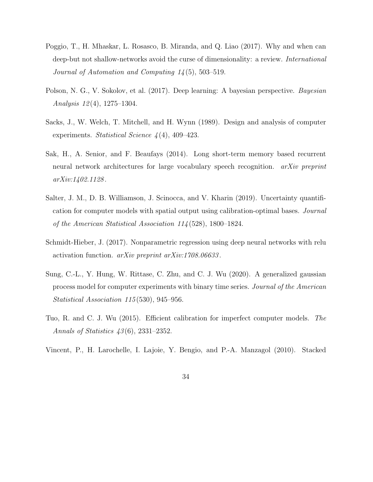- Poggio, T., H. Mhaskar, L. Rosasco, B. Miranda, and Q. Liao (2017). Why and when can deep-but not shallow-networks avoid the curse of dimensionality: a review. *International* Journal of Automation and Computing 14 (5), 503–519.
- Polson, N. G., V. Sokolov, et al. (2017). Deep learning: A bayesian perspective. Bayesian Analysis  $12(4)$ , 1275–1304.
- Sacks, J., W. Welch, T. Mitchell, and H. Wynn (1989). Design and analysis of computer experiments. Statistical Science  $\frac{1}{4}(4)$ , 409–423.
- Sak, H., A. Senior, and F. Beaufays (2014). Long short-term memory based recurrent neural network architectures for large vocabulary speech recognition. *arXiv preprint* arXiv:1402.1128 .
- Salter, J. M., D. B. Williamson, J. Scinocca, and V. Kharin (2019). Uncertainty quantification for computer models with spatial output using calibration-optimal bases. Journal of the American Statistical Association 114 (528), 1800–1824.
- Schmidt-Hieber, J. (2017). Nonparametric regression using deep neural networks with relu activation function. arXiv preprint arXiv:1708.06633 .
- Sung, C.-L., Y. Hung, W. Rittase, C. Zhu, and C. J. Wu (2020). A generalized gaussian process model for computer experiments with binary time series. Journal of the American Statistical Association 115 (530), 945–956.
- Tuo, R. and C. J. Wu (2015). Efficient calibration for imperfect computer models. The Annals of Statistics 43 (6), 2331–2352.
- Vincent, P., H. Larochelle, I. Lajoie, Y. Bengio, and P.-A. Manzagol (2010). Stacked